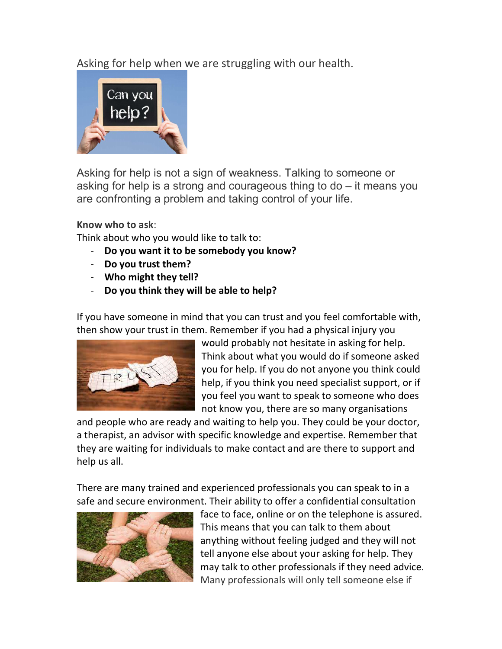Asking for help when we are struggling with our health.



Asking for help is not a sign of weakness. Talking to someone or asking for help is a strong and courageous thing to do – it means you are confronting a problem and taking control of your life.

Know who to ask:

Think about who you would like to talk to:

- Do you want it to be somebody you know?
- Do you trust them?
- Who might they tell?
- Do you think they will be able to help?

If you have someone in mind that you can trust and you feel comfortable with, then show your trust in them. Remember if you had a physical injury you



would probably not hesitate in asking for help. Think about what you would do if someone asked you for help. If you do not anyone you think could help, if you think you need specialist support, or if you feel you want to speak to someone who does not know you, there are so many organisations

and people who are ready and waiting to help you. They could be your doctor, a therapist, an advisor with specific knowledge and expertise. Remember that they are waiting for individuals to make contact and are there to support and help us all.

There are many trained and experienced professionals you can speak to in a safe and secure environment. Their ability to offer a confidential consultation



face to face, online or on the telephone is assured. This means that you can talk to them about anything without feeling judged and they will not tell anyone else about your asking for help. They may talk to other professionals if they need advice. Many professionals will only tell someone else if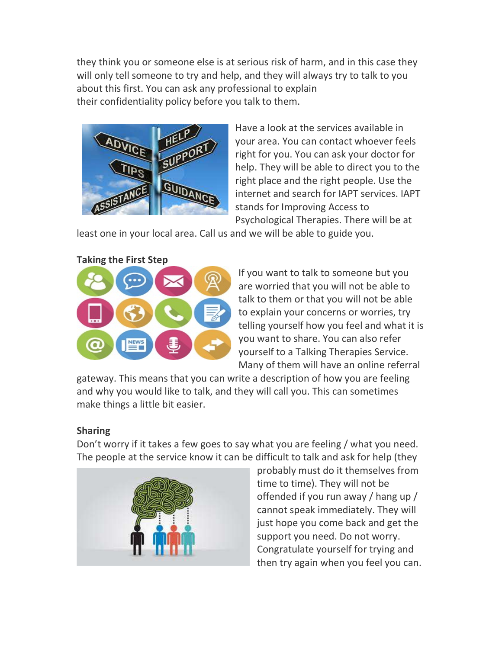they think you or someone else is at serious risk of harm, and in this case they will only tell someone to try and help, and they will always try to talk to you about this first. You can ask any professional to explain their confidentiality policy before you talk to them.



Have a look at the services available in your area. You can contact whoever feels right for you. You can ask your doctor for help. They will be able to direct you to the right place and the right people. Use the internet and search for IAPT services. IAPT stands for Improving Access to Psychological Therapies. There will be at

least one in your local area. Call us and we will be able to guide you.



If you want to talk to someone but you are worried that you will not be able to talk to them or that you will not be able to explain your concerns or worries, try telling yourself how you feel and what it is you want to share. You can also refer yourself to a Talking Therapies Service. Many of them will have an online referral

gateway. This means that you can write a description of how you are feeling and why you would like to talk, and they will call you. This can sometimes make things a little bit easier.

## Sharing

Don't worry if it takes a few goes to say what you are feeling / what you need. The people at the service know it can be difficult to talk and ask for help (they



probably must do it themselves from time to time). They will not be offended if you run away / hang up / cannot speak immediately. They will just hope you come back and get the support you need. Do not worry. Congratulate yourself for trying and then try again when you feel you can.